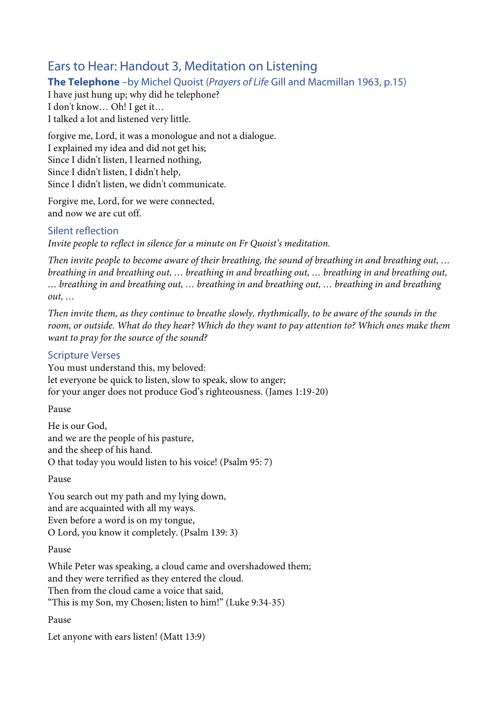# Ears to Hear: Handout 3, Meditation on Listening

## **The Telephone** –by Michel Quoist (*Prayers of Life* Gill and Macmillan 1963, p.15)

I have just hung up; why did he telephone? I don't know… Oh! I get it… I talked a lot and listened very little.

forgive me, Lord, it was a monologue and not a dialogue. I explained my idea and did not get his; Since I didn't listen, I learned nothing, Since I didn't listen, I didn't help, Since I didn't listen, we didn't communicate.

Forgive me, Lord, for we were connected, and now we are cut off.

## Silent reflection

*Invite people to reflect in silence for a minute on Fr Quoist's meditation.*

*Then invite people to become aware of their breathing, the sound of breathing in and breathing out, … breathing in and breathing out, … breathing in and breathing out, … breathing in and breathing out, … breathing in and breathing out, … breathing in and breathing out, … breathing in and breathing out, …*

*Then invite them, as they continue to breathe slowly, rhythmically, to be aware of the sounds in the room, or outside. What do they hear? Which do they want to pay attention to? Which ones make them want to pray for the source of the sound?*

## Scripture Verses

You must understand this, my beloved: let everyone be quick to listen, slow to speak, slow to anger; for your anger does not produce God's righteousness. (James 1:19-20)

Pause

He is our God, and we are the people of his pasture, and the sheep of his hand. O that today you would listen to his voice! (Psalm 95: 7)

### Pause

You search out my path and my lying down, and are acquainted with all my ways. Even before a word is on my tongue, O Lord, you know it completely. (Psalm 139: 3)

### Pause

While Peter was speaking, a cloud came and overshadowed them; and they were terrified as they entered the cloud. Then from the cloud came a voice that said, "This is my Son, my Chosen; listen to him!" (Luke 9:34-35)

### Pause

Let anyone with ears listen! (Matt 13:9)